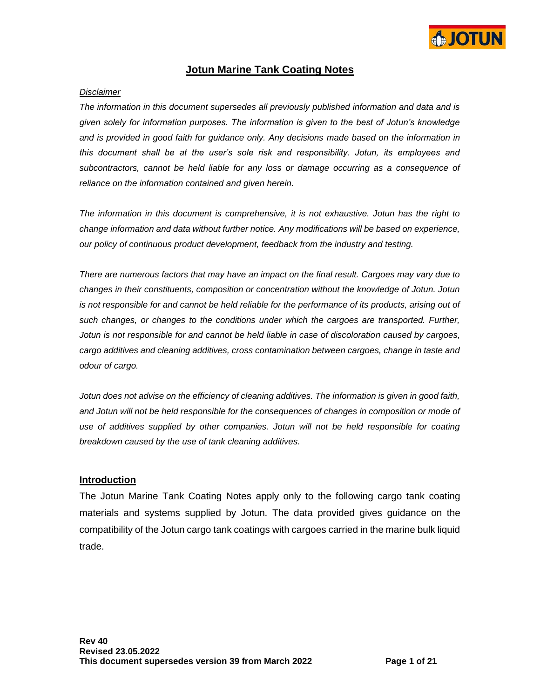

## **Jotun Marine Tank Coating Notes**

#### *Disclaimer*

*The information in this document supersedes all previously published information and data and is given solely for information purposes. The information is given to the best of Jotun's knowledge and is provided in good faith for guidance only. Any decisions made based on the information in this document shall be at the user's sole risk and responsibility. Jotun, its employees and subcontractors, cannot be held liable for any loss or damage occurring as a consequence of reliance on the information contained and given herein.*

*The information in this document is comprehensive, it is not exhaustive. Jotun has the right to change information and data without further notice. Any modifications will be based on experience, our policy of continuous product development, feedback from the industry and testing.*

*There are numerous factors that may have an impact on the final result. Cargoes may vary due to changes in their constituents, composition or concentration without the knowledge of Jotun. Jotun is not responsible for and cannot be held reliable for the performance of its products, arising out of such changes, or changes to the conditions under which the cargoes are transported. Further, Jotun is not responsible for and cannot be held liable in case of discoloration caused by cargoes, cargo additives and cleaning additives, cross contamination between cargoes, change in taste and odour of cargo.*

*Jotun does not advise on the efficiency of cleaning additives. The information is given in good faith, and Jotun will not be held responsible for the consequences of changes in composition or mode of*  use of additives supplied by other companies. Jotun will not be held responsible for coating *breakdown caused by the use of tank cleaning additives.*

#### **Introduction**

The Jotun Marine Tank Coating Notes apply only to the following cargo tank coating materials and systems supplied by Jotun. The data provided gives guidance on the compatibility of the Jotun cargo tank coatings with cargoes carried in the marine bulk liquid trade.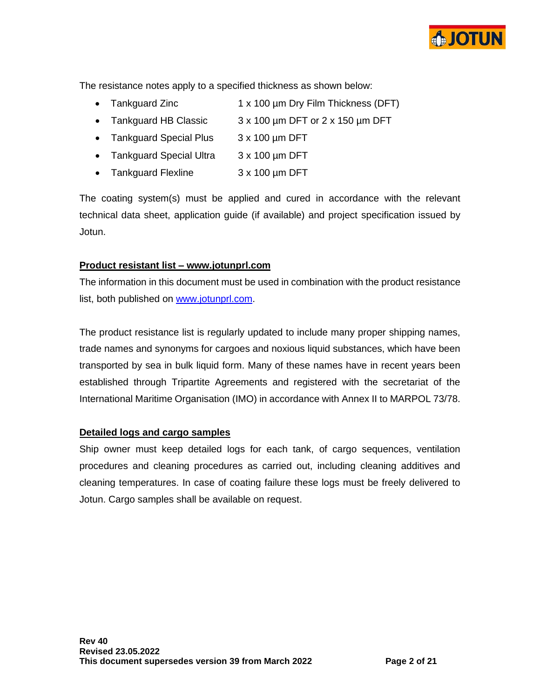

The resistance notes apply to a specified thickness as shown below:

- Tankguard Zinc 1 x 100 µm Dry Film Thickness (DFT)
- Tankguard HB Classic 3 x 100 µm DFT or 2 x 150 µm DFT
- Tankguard Special Plus 3 x 100 µm DFT
- Tankguard Special Ultra 3 x 100 µm DFT
- Tankguard Flexline 3 x 100 µm DFT

The coating system(s) must be applied and cured in accordance with the relevant technical data sheet, application guide (if available) and project specification issued by Jotun.

## **Product resistant list – [www.jotunprl.com](http://www.jotunprl.com/)**

The information in this document must be used in combination with the product resistance list, both published on [www.jotunprl.com.](http://www.jotunprl.com/)

The product resistance list is regularly updated to include many proper shipping names, trade names and synonyms for cargoes and noxious liquid substances, which have been transported by sea in bulk liquid form. Many of these names have in recent years been established through Tripartite Agreements and registered with the secretariat of the International Maritime Organisation (IMO) in accordance with Annex II to MARPOL 73/78.

## **Detailed logs and cargo samples**

Ship owner must keep detailed logs for each tank, of cargo sequences, ventilation procedures and cleaning procedures as carried out, including cleaning additives and cleaning temperatures. In case of coating failure these logs must be freely delivered to Jotun. Cargo samples shall be available on request.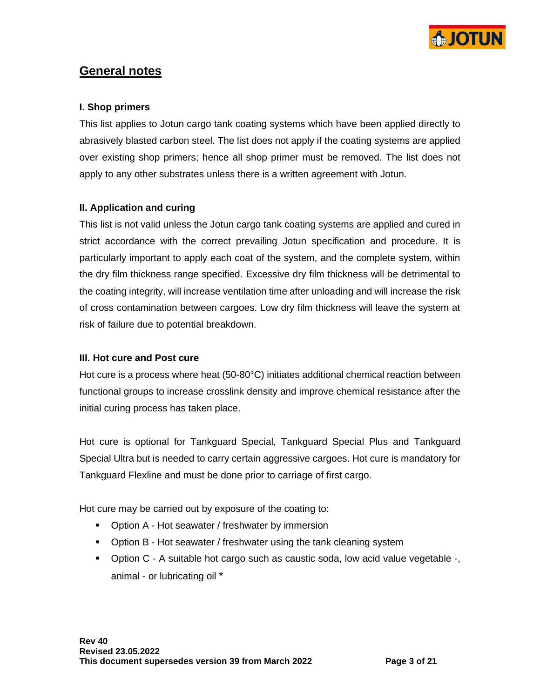

# **General notes**

## **I. Shop primers**

This list applies to Jotun cargo tank coating systems which have been applied directly to abrasively blasted carbon steel. The list does not apply if the coating systems are applied over existing shop primers; hence all shop primer must be removed. The list does not apply to any other substrates unless there is a written agreement with Jotun.

## **II. Application and curing**

This list is not valid unless the Jotun cargo tank coating systems are applied and cured in strict accordance with the correct prevailing Jotun specification and procedure. It is particularly important to apply each coat of the system, and the complete system, within the dry film thickness range specified. Excessive dry film thickness will be detrimental to the coating integrity, will increase ventilation time after unloading and will increase the risk of cross contamination between cargoes. Low dry film thickness will leave the system at risk of failure due to potential breakdown.

## **III. Hot cure and Post cure**

Hot cure is a process where heat (50-80°C) initiates additional chemical reaction between functional groups to increase crosslink density and improve chemical resistance after the initial curing process has taken place.

Hot cure is optional for Tankguard Special, Tankguard Special Plus and Tankguard Special Ultra but is needed to carry certain aggressive cargoes. Hot cure is mandatory for Tankguard Flexline and must be done prior to carriage of first cargo.

Hot cure may be carried out by exposure of the coating to:

- Option A Hot seawater / freshwater by immersion
- **•** Option B Hot seawater / freshwater using the tank cleaning system
- Option C A suitable hot cargo such as caustic soda, low acid value vegetable -, animal - or lubricating oil \*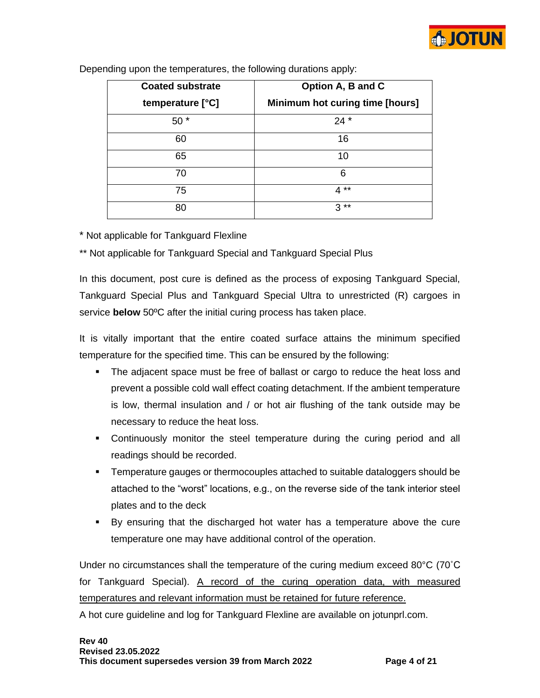

| <b>Coated substrate</b> | Option A, B and C               |
|-------------------------|---------------------------------|
| temperature [°C]        | Minimum hot curing time [hours] |
| $50*$                   | $24*$                           |
| 60                      | 16                              |
| 65                      | 10                              |
| 70                      | 6                               |
| 75                      | $4**$                           |
| 80                      | $***$<br>3                      |

Depending upon the temperatures, the following durations apply:

\* Not applicable for Tankguard Flexline

\*\* Not applicable for Tankguard Special and Tankguard Special Plus

In this document, post cure is defined as the process of exposing Tankguard Special, Tankguard Special Plus and Tankguard Special Ultra to unrestricted (R) cargoes in service **below** 50ºC after the initial curing process has taken place.

It is vitally important that the entire coated surface attains the minimum specified temperature for the specified time. This can be ensured by the following:

- **The adjacent space must be free of ballast or cargo to reduce the heat loss and** prevent a possible cold wall effect coating detachment. If the ambient temperature is low, thermal insulation and / or hot air flushing of the tank outside may be necessary to reduce the heat loss.
- **•** Continuously monitor the steel temperature during the curing period and all readings should be recorded.
- **EXECT** Temperature gauges or thermocouples attached to suitable dataloggers should be attached to the "worst" locations, e.g., on the reverse side of the tank interior steel plates and to the deck
- By ensuring that the discharged hot water has a temperature above the cure temperature one may have additional control of the operation.

Under no circumstances shall the temperature of the curing medium exceed 80°C (70˚C for Tankguard Special). A record of the curing operation data, with measured temperatures and relevant information must be retained for future reference.

A hot cure guideline and log for Tankguard Flexline are available on jotunprl.com.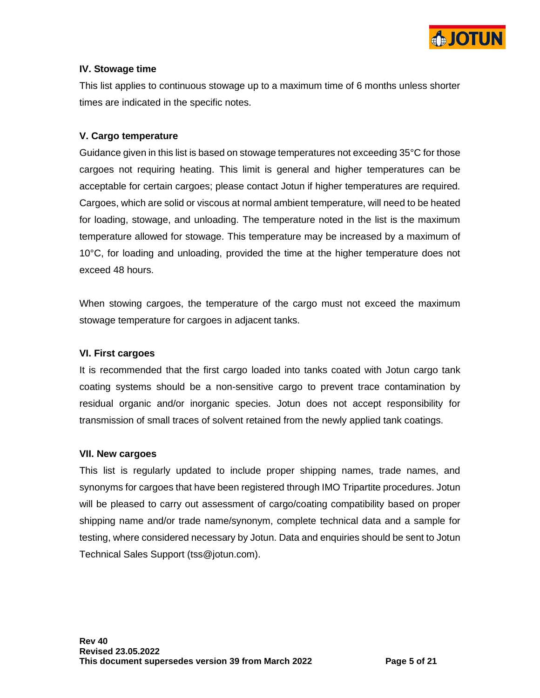

## **IV. Stowage time**

This list applies to continuous stowage up to a maximum time of 6 months unless shorter times are indicated in the specific notes.

## **V. Cargo temperature**

Guidance given in this list is based on stowage temperatures not exceeding 35°C for those cargoes not requiring heating. This limit is general and higher temperatures can be acceptable for certain cargoes; please contact Jotun if higher temperatures are required. Cargoes, which are solid or viscous at normal ambient temperature, will need to be heated for loading, stowage, and unloading. The temperature noted in the list is the maximum temperature allowed for stowage. This temperature may be increased by a maximum of 10°C, for loading and unloading, provided the time at the higher temperature does not exceed 48 hours.

When stowing cargoes, the temperature of the cargo must not exceed the maximum stowage temperature for cargoes in adjacent tanks.

## **VI. First cargoes**

It is recommended that the first cargo loaded into tanks coated with Jotun cargo tank coating systems should be a non-sensitive cargo to prevent trace contamination by residual organic and/or inorganic species. Jotun does not accept responsibility for transmission of small traces of solvent retained from the newly applied tank coatings.

## **VII. New cargoes**

This list is regularly updated to include proper shipping names, trade names, and synonyms for cargoes that have been registered through IMO Tripartite procedures. Jotun will be pleased to carry out assessment of cargo/coating compatibility based on proper shipping name and/or trade name/synonym, complete technical data and a sample for testing, where considered necessary by Jotun. Data and enquiries should be sent to Jotun Technical Sales Support (tss@jotun.com).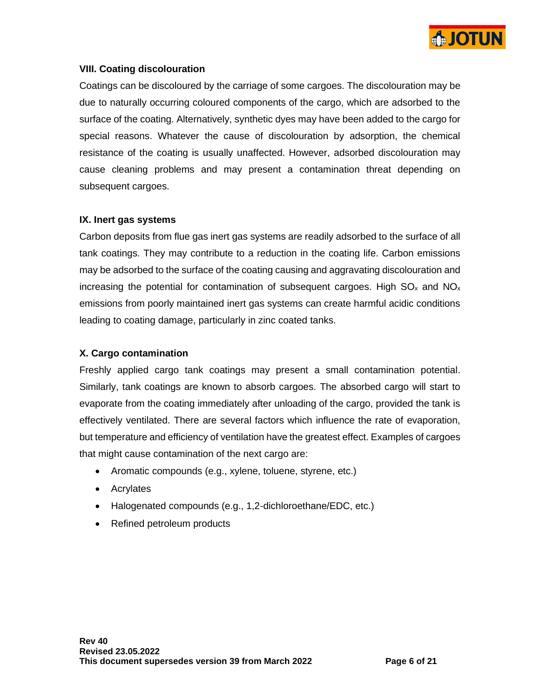

## **VIII. Coating discolouration**

Coatings can be discoloured by the carriage of some cargoes. The discolouration may be due to naturally occurring coloured components of the cargo, which are adsorbed to the surface of the coating. Alternatively, synthetic dyes may have been added to the cargo for special reasons. Whatever the cause of discolouration by adsorption, the chemical resistance of the coating is usually unaffected. However, adsorbed discolouration may cause cleaning problems and may present a contamination threat depending on subsequent cargoes.

## **IX. Inert gas systems**

Carbon deposits from flue gas inert gas systems are readily adsorbed to the surface of all tank coatings. They may contribute to a reduction in the coating life. Carbon emissions may be adsorbed to the surface of the coating causing and aggravating discolouration and increasing the potential for contamination of subsequent cargoes. High  $SO_{x}$  and  $NO_{x}$ emissions from poorly maintained inert gas systems can create harmful acidic conditions leading to coating damage, particularly in zinc coated tanks.

## **X. Cargo contamination**

Freshly applied cargo tank coatings may present a small contamination potential. Similarly, tank coatings are known to absorb cargoes. The absorbed cargo will start to evaporate from the coating immediately after unloading of the cargo, provided the tank is effectively ventilated. There are several factors which influence the rate of evaporation, but temperature and efficiency of ventilation have the greatest effect. Examples of cargoes that might cause contamination of the next cargo are:

- Aromatic compounds (e.g., xylene, toluene, styrene, etc.)
- Acrylates
- Halogenated compounds (e.g., 1,2-dichloroethane/EDC, etc.)
- Refined petroleum products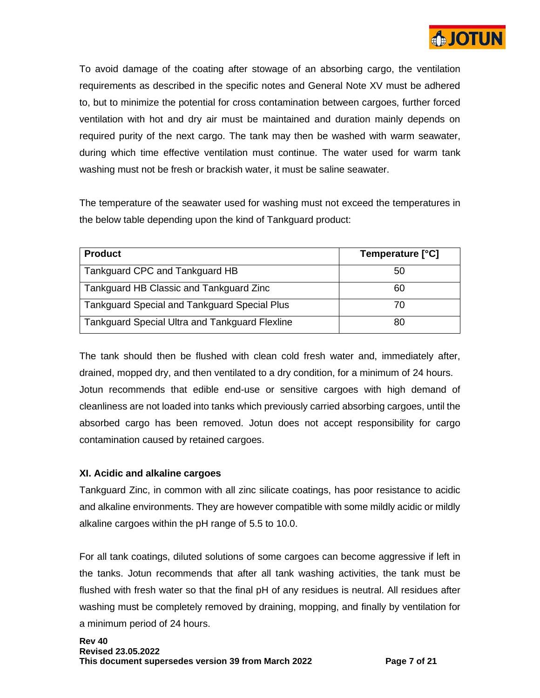

To avoid damage of the coating after stowage of an absorbing cargo, the ventilation requirements as described in the specific notes and General Note XV must be adhered to, but to minimize the potential for cross contamination between cargoes, further forced ventilation with hot and dry air must be maintained and duration mainly depends on required purity of the next cargo. The tank may then be washed with warm seawater, during which time effective ventilation must continue. The water used for warm tank washing must not be fresh or brackish water, it must be saline seawater.

The temperature of the seawater used for washing must not exceed the temperatures in the below table depending upon the kind of Tankguard product:

| <b>Product</b>                                        | Temperature [°C] |
|-------------------------------------------------------|------------------|
| Tankguard CPC and Tankguard HB                        | 50               |
| Tankguard HB Classic and Tankguard Zinc               | 60               |
| <b>Tankguard Special and Tankguard Special Plus</b>   | 70               |
| <b>Tankguard Special Ultra and Tankguard Flexline</b> | 80               |

The tank should then be flushed with clean cold fresh water and, immediately after, drained, mopped dry, and then ventilated to a dry condition, for a minimum of 24 hours. Jotun recommends that edible end-use or sensitive cargoes with high demand of cleanliness are not loaded into tanks which previously carried absorbing cargoes, until the absorbed cargo has been removed. Jotun does not accept responsibility for cargo contamination caused by retained cargoes.

## **XI. Acidic and alkaline cargoes**

Tankguard Zinc, in common with all zinc silicate coatings, has poor resistance to acidic and alkaline environments. They are however compatible with some mildly acidic or mildly alkaline cargoes within the pH range of 5.5 to 10.0.

For all tank coatings, diluted solutions of some cargoes can become aggressive if left in the tanks. Jotun recommends that after all tank washing activities, the tank must be flushed with fresh water so that the final pH of any residues is neutral. All residues after washing must be completely removed by draining, mopping, and finally by ventilation for a minimum period of 24 hours.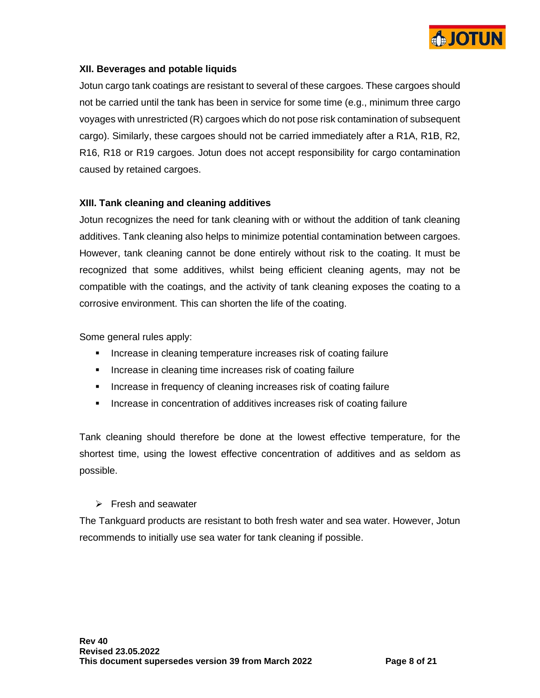

## **XII. Beverages and potable liquids**

Jotun cargo tank coatings are resistant to several of these cargoes. These cargoes should not be carried until the tank has been in service for some time (e.g., minimum three cargo voyages with unrestricted (R) cargoes which do not pose risk contamination of subsequent cargo). Similarly, these cargoes should not be carried immediately after a R1A, R1B, R2, R16, R18 or R19 cargoes. Jotun does not accept responsibility for cargo contamination caused by retained cargoes.

#### **XIII. Tank cleaning and cleaning additives**

Jotun recognizes the need for tank cleaning with or without the addition of tank cleaning additives. Tank cleaning also helps to minimize potential contamination between cargoes. However, tank cleaning cannot be done entirely without risk to the coating. It must be recognized that some additives, whilst being efficient cleaning agents, may not be compatible with the coatings, and the activity of tank cleaning exposes the coating to a corrosive environment. This can shorten the life of the coating.

Some general rules apply:

- **EXEDERITH** Increase in cleaning temperature increases risk of coating failure
- Increase in cleaning time increases risk of coating failure
- **EXEDENCE INCREASE In Frequency of cleaning increases risk of coating failure**
- **EXEDENT** Increase in concentration of additives increases risk of coating failure

Tank cleaning should therefore be done at the lowest effective temperature, for the shortest time, using the lowest effective concentration of additives and as seldom as possible.

## ➢ Fresh and seawater

The Tankguard products are resistant to both fresh water and sea water. However, Jotun recommends to initially use sea water for tank cleaning if possible.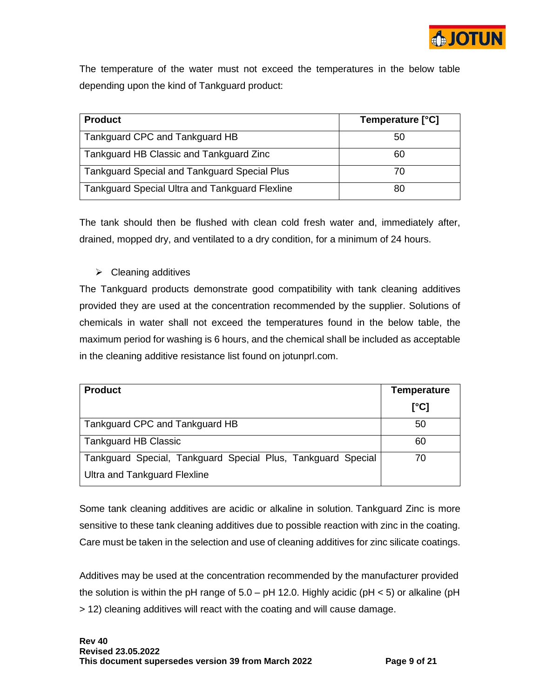

The temperature of the water must not exceed the temperatures in the below table depending upon the kind of Tankguard product:

| <b>Product</b>                                        | Temperature [°C] |
|-------------------------------------------------------|------------------|
| Tankguard CPC and Tankguard HB                        | 50               |
| Tankguard HB Classic and Tankguard Zinc               | 60               |
| <b>Tankguard Special and Tankguard Special Plus</b>   | 70               |
| <b>Tankguard Special Ultra and Tankguard Flexline</b> | 80               |

The tank should then be flushed with clean cold fresh water and, immediately after, drained, mopped dry, and ventilated to a dry condition, for a minimum of 24 hours.

 $\triangleright$  Cleaning additives

The Tankguard products demonstrate good compatibility with tank cleaning additives provided they are used at the concentration recommended by the supplier. Solutions of chemicals in water shall not exceed the temperatures found in the below table, the maximum period for washing is 6 hours, and the chemical shall be included as acceptable in the cleaning additive resistance list found on jotunprl.com.

| <b>Product</b>                                               | <b>Temperature</b> |
|--------------------------------------------------------------|--------------------|
|                                                              | [°C]               |
| Tankguard CPC and Tankguard HB                               | 50                 |
| <b>Tankguard HB Classic</b>                                  | 60                 |
| Tankguard Special, Tankguard Special Plus, Tankguard Special | 70                 |
| Ultra and Tankguard Flexline                                 |                    |

Some tank cleaning additives are acidic or alkaline in solution. Tankguard Zinc is more sensitive to these tank cleaning additives due to possible reaction with zinc in the coating. Care must be taken in the selection and use of cleaning additives for zinc silicate coatings.

Additives may be used at the concentration recommended by the manufacturer provided the solution is within the pH range of  $5.0 - pH$  12.0. Highly acidic (pH < 5) or alkaline (pH > 12) cleaning additives will react with the coating and will cause damage.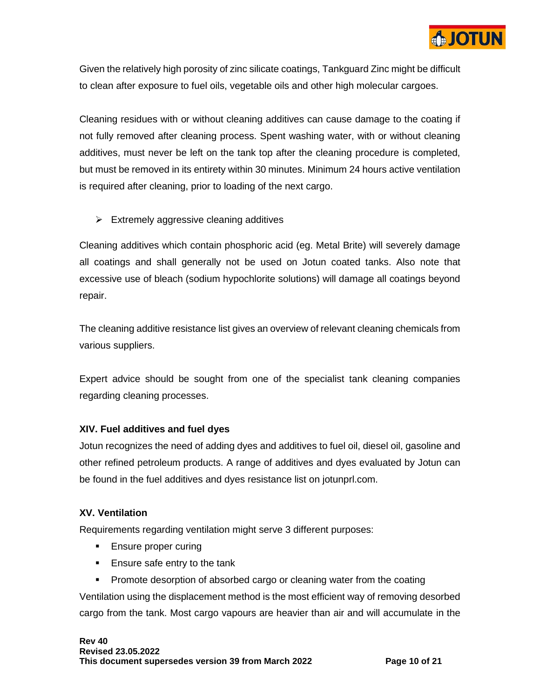

Given the relatively high porosity of zinc silicate coatings, Tankguard Zinc might be difficult to clean after exposure to fuel oils, vegetable oils and other high molecular cargoes.

Cleaning residues with or without cleaning additives can cause damage to the coating if not fully removed after cleaning process. Spent washing water, with or without cleaning additives, must never be left on the tank top after the cleaning procedure is completed, but must be removed in its entirety within 30 minutes. Minimum 24 hours active ventilation is required after cleaning, prior to loading of the next cargo.

 $\triangleright$  Extremely aggressive cleaning additives

Cleaning additives which contain phosphoric acid (eg. Metal Brite) will severely damage all coatings and shall generally not be used on Jotun coated tanks. Also note that excessive use of bleach (sodium hypochlorite solutions) will damage all coatings beyond repair.

The cleaning additive resistance list gives an overview of relevant cleaning chemicals from various suppliers.

Expert advice should be sought from one of the specialist tank cleaning companies regarding cleaning processes.

## **XIV. Fuel additives and fuel dyes**

Jotun recognizes the need of adding dyes and additives to fuel oil, diesel oil, gasoline and other refined petroleum products. A range of additives and dyes evaluated by Jotun can be found in the fuel additives and dyes resistance list on jotunprl.com.

## **XV. Ventilation**

Requirements regarding ventilation might serve 3 different purposes:

- Ensure proper curing
- **Ensure safe entry to the tank**
- Promote desorption of absorbed cargo or cleaning water from the coating

Ventilation using the displacement method is the most efficient way of removing desorbed cargo from the tank. Most cargo vapours are heavier than air and will accumulate in the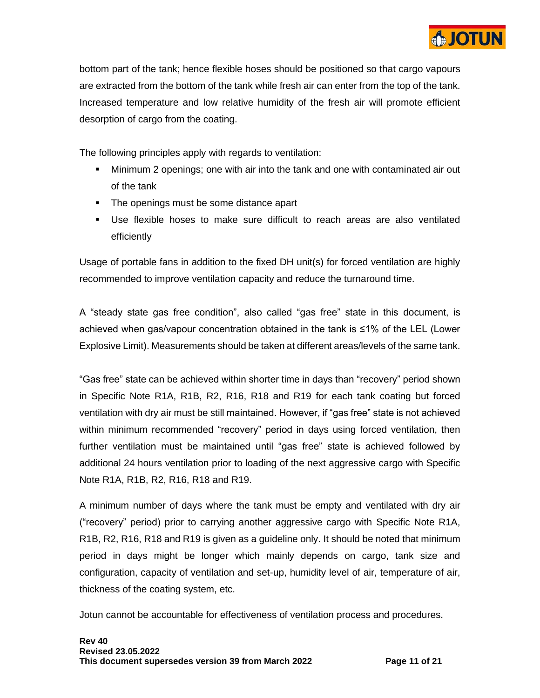

bottom part of the tank; hence flexible hoses should be positioned so that cargo vapours are extracted from the bottom of the tank while fresh air can enter from the top of the tank. Increased temperature and low relative humidity of the fresh air will promote efficient desorption of cargo from the coating.

The following principles apply with regards to ventilation:

- Minimum 2 openings; one with air into the tank and one with contaminated air out of the tank
- The openings must be some distance apart
- Use flexible hoses to make sure difficult to reach areas are also ventilated efficiently

Usage of portable fans in addition to the fixed DH unit(s) for forced ventilation are highly recommended to improve ventilation capacity and reduce the turnaround time.

A "steady state gas free condition", also called "gas free" state in this document, is achieved when gas/vapour concentration obtained in the tank is ≤1% of the LEL (Lower Explosive Limit). Measurements should be taken at different areas/levels of the same tank.

"Gas free" state can be achieved within shorter time in days than "recovery" period shown in Specific Note R1A, R1B, R2, R16, R18 and R19 for each tank coating but forced ventilation with dry air must be still maintained. However, if "gas free" state is not achieved within minimum recommended "recovery" period in days using forced ventilation, then further ventilation must be maintained until "gas free" state is achieved followed by additional 24 hours ventilation prior to loading of the next aggressive cargo with Specific Note R1A, R1B, R2, R16, R18 and R19.

A minimum number of days where the tank must be empty and ventilated with dry air ("recovery" period) prior to carrying another aggressive cargo with Specific Note R1A, R1B, R2, R16, R18 and R19 is given as a guideline only. It should be noted that minimum period in days might be longer which mainly depends on cargo, tank size and configuration, capacity of ventilation and set-up, humidity level of air, temperature of air, thickness of the coating system, etc.

Jotun cannot be accountable for effectiveness of ventilation process and procedures.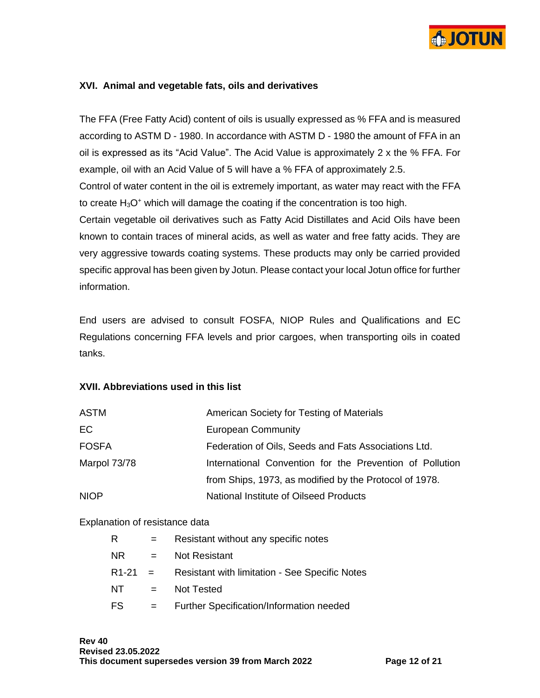

## **XVI. Animal and vegetable fats, oils and derivatives**

The FFA (Free Fatty Acid) content of oils is usually expressed as % FFA and is measured according to ASTM D - 1980. In accordance with ASTM D - 1980 the amount of FFA in an oil is expressed as its "Acid Value". The Acid Value is approximately 2 x the % FFA. For example, oil with an Acid Value of 5 will have a % FFA of approximately 2.5.

Control of water content in the oil is extremely important, as water may react with the FFA to create  $H_3O^+$  which will damage the coating if the concentration is too high.

Certain vegetable oil derivatives such as Fatty Acid Distillates and Acid Oils have been known to contain traces of mineral acids, as well as water and free fatty acids. They are very aggressive towards coating systems. These products may only be carried provided specific approval has been given by Jotun. Please contact your local Jotun office for further information.

End users are advised to consult FOSFA, NIOP Rules and Qualifications and EC Regulations concerning FFA levels and prior cargoes, when transporting oils in coated tanks.

#### **XVII. Abbreviations used in this list**

| <b>ASTM</b>  | American Society for Testing of Materials                |
|--------------|----------------------------------------------------------|
| EC           | <b>European Community</b>                                |
| <b>FOSFA</b> | Federation of Oils, Seeds and Fats Associations Ltd.     |
| Marpol 73/78 | International Convention for the Prevention of Pollution |
|              | from Ships, 1973, as modified by the Protocol of 1978.   |
| <b>NIOP</b>  | National Institute of Oilseed Products                   |

#### Explanation of resistance data

| R         |     | Resistant without any specific notes                  |
|-----------|-----|-------------------------------------------------------|
| NR.       | $=$ | Not Resistant                                         |
| $R1-21 =$ |     | <b>Resistant with limitation - See Specific Notes</b> |
| NT.       | $=$ | Not Tested                                            |
| FS        | $=$ | Further Specification/Information needed              |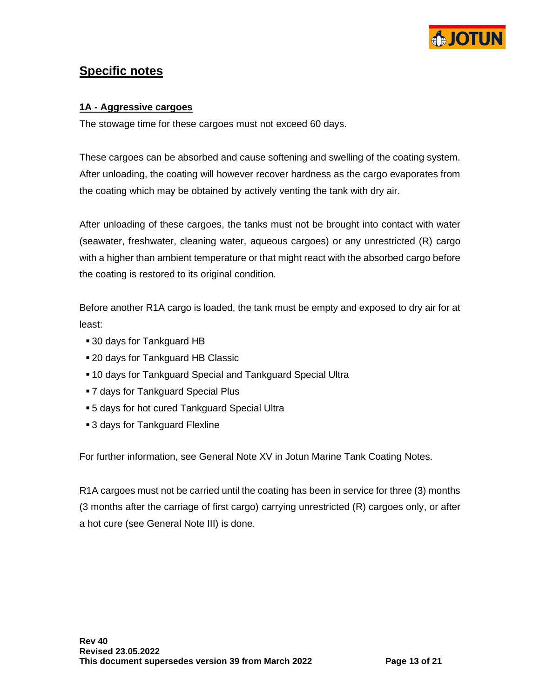

# **Specific notes**

## **1A - Aggressive cargoes**

The stowage time for these cargoes must not exceed 60 days.

These cargoes can be absorbed and cause softening and swelling of the coating system. After unloading, the coating will however recover hardness as the cargo evaporates from the coating which may be obtained by actively venting the tank with dry air.

After unloading of these cargoes, the tanks must not be brought into contact with water (seawater, freshwater, cleaning water, aqueous cargoes) or any unrestricted (R) cargo with a higher than ambient temperature or that might react with the absorbed cargo before the coating is restored to its original condition.

Before another R1A cargo is loaded, the tank must be empty and exposed to dry air for at least:

- 30 days for Tankguard HB
- 20 days for Tankguard HB Classic
- 10 days for Tankguard Special and Tankguard Special Ultra
- 7 days for Tankguard Special Plus
- 5 days for hot cured Tankguard Special Ultra
- 3 days for Tankguard Flexline

For further information, see General Note XV in Jotun Marine Tank Coating Notes.

R1A cargoes must not be carried until the coating has been in service for three (3) months (3 months after the carriage of first cargo) carrying unrestricted (R) cargoes only, or after a hot cure (see General Note III) is done.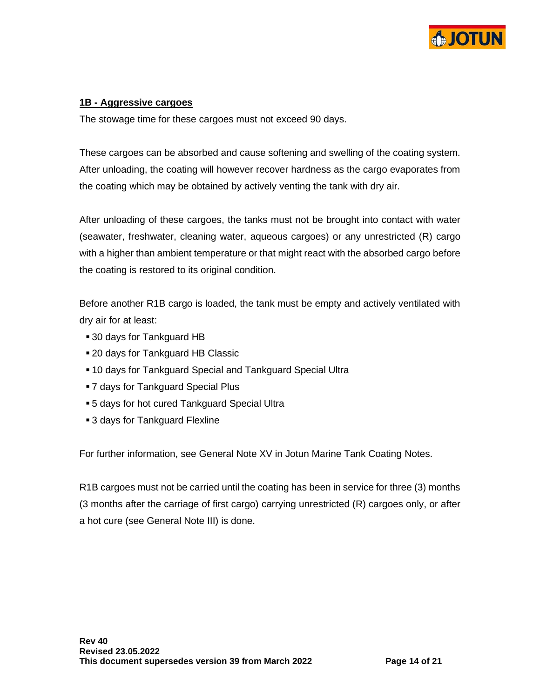

### **1B - Aggressive cargoes**

The stowage time for these cargoes must not exceed 90 days.

These cargoes can be absorbed and cause softening and swelling of the coating system. After unloading, the coating will however recover hardness as the cargo evaporates from the coating which may be obtained by actively venting the tank with dry air.

After unloading of these cargoes, the tanks must not be brought into contact with water (seawater, freshwater, cleaning water, aqueous cargoes) or any unrestricted (R) cargo with a higher than ambient temperature or that might react with the absorbed cargo before the coating is restored to its original condition.

Before another R1B cargo is loaded, the tank must be empty and actively ventilated with dry air for at least:

- 30 days for Tankguard HB
- 20 days for Tankguard HB Classic
- 10 days for Tankguard Special and Tankguard Special Ultra
- 7 days for Tankguard Special Plus
- 5 days for hot cured Tankguard Special Ultra
- 3 days for Tankguard Flexline

For further information, see General Note XV in Jotun Marine Tank Coating Notes.

R1B cargoes must not be carried until the coating has been in service for three (3) months (3 months after the carriage of first cargo) carrying unrestricted (R) cargoes only, or after a hot cure (see General Note III) is done.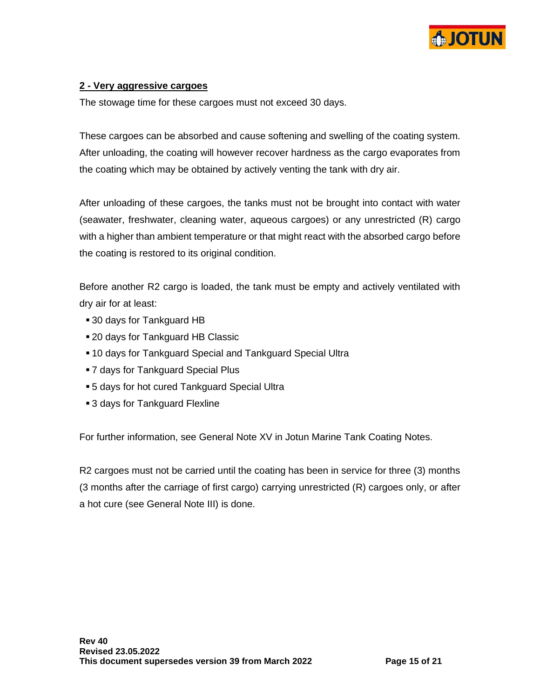

### **2 - Very aggressive cargoes**

The stowage time for these cargoes must not exceed 30 days.

These cargoes can be absorbed and cause softening and swelling of the coating system. After unloading, the coating will however recover hardness as the cargo evaporates from the coating which may be obtained by actively venting the tank with dry air.

After unloading of these cargoes, the tanks must not be brought into contact with water (seawater, freshwater, cleaning water, aqueous cargoes) or any unrestricted (R) cargo with a higher than ambient temperature or that might react with the absorbed cargo before the coating is restored to its original condition.

Before another R2 cargo is loaded, the tank must be empty and actively ventilated with dry air for at least:

- 30 days for Tankguard HB
- 20 days for Tankguard HB Classic
- **.10 days for Tankguard Special and Tankguard Special Ultra**
- 7 days for Tankguard Special Plus
- 5 days for hot cured Tankguard Special Ultra
- 3 days for Tankguard Flexline

For further information, see General Note XV in Jotun Marine Tank Coating Notes.

R2 cargoes must not be carried until the coating has been in service for three (3) months (3 months after the carriage of first cargo) carrying unrestricted (R) cargoes only, or after a hot cure (see General Note III) is done.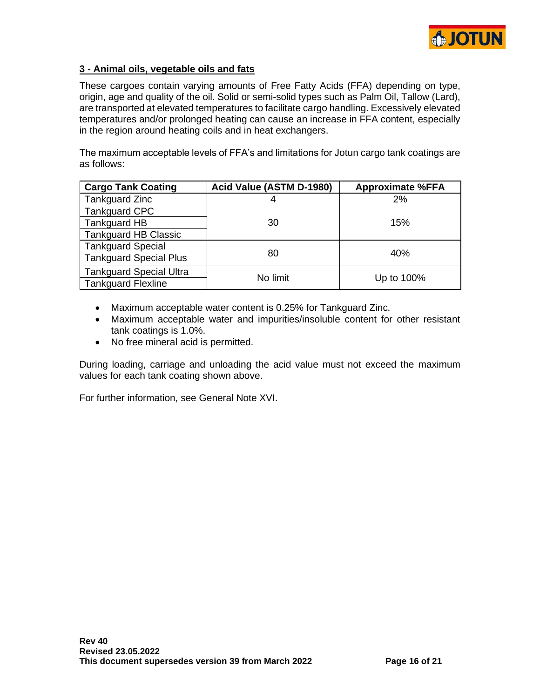

## **3 - Animal oils, vegetable oils and fats**

These cargoes contain varying amounts of Free Fatty Acids (FFA) depending on type, origin, age and quality of the oil. Solid or semi-solid types such as Palm Oil, Tallow (Lard), are transported at elevated temperatures to facilitate cargo handling. Excessively elevated temperatures and/or prolonged heating can cause an increase in FFA content, especially in the region around heating coils and in heat exchangers.

The maximum acceptable levels of FFA's and limitations for Jotun cargo tank coatings are as follows:

| <b>Cargo Tank Coating</b>      | Acid Value (ASTM D-1980) | <b>Approximate %FFA</b> |
|--------------------------------|--------------------------|-------------------------|
| <b>Tankguard Zinc</b>          | 4                        | 2%                      |
| <b>Tankguard CPC</b>           |                          |                         |
| Tankguard HB                   | 30                       | 15%                     |
| <b>Tankguard HB Classic</b>    |                          |                         |
| <b>Tankguard Special</b>       |                          |                         |
| <b>Tankguard Special Plus</b>  | 80                       | 40%                     |
| <b>Tankguard Special Ultra</b> | No limit                 |                         |
| <b>Tankguard Flexline</b>      |                          | Up to 100%              |

- Maximum acceptable water content is 0.25% for Tankguard Zinc.
- Maximum acceptable water and impurities/insoluble content for other resistant tank coatings is 1.0%.
- No free mineral acid is permitted.

During loading, carriage and unloading the acid value must not exceed the maximum values for each tank coating shown above.

For further information, see General Note XVI.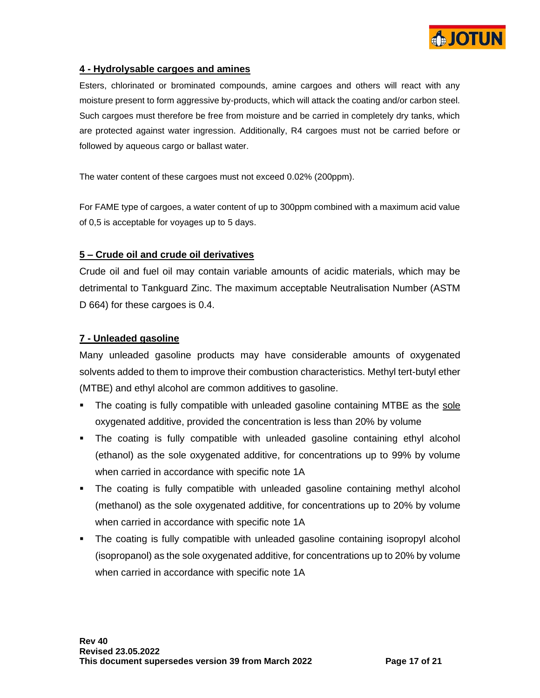

### **4 - Hydrolysable cargoes and amines**

Esters, chlorinated or brominated compounds, amine cargoes and others will react with any moisture present to form aggressive by-products, which will attack the coating and/or carbon steel. Such cargoes must therefore be free from moisture and be carried in completely dry tanks, which are protected against water ingression. Additionally, R4 cargoes must not be carried before or followed by aqueous cargo or ballast water.

The water content of these cargoes must not exceed 0.02% (200ppm).

For FAME type of cargoes, a water content of up to 300ppm combined with a maximum acid value of 0,5 is acceptable for voyages up to 5 days.

#### **5 – Crude oil and crude oil derivatives**

Crude oil and fuel oil may contain variable amounts of acidic materials, which may be detrimental to Tankguard Zinc. The maximum acceptable Neutralisation Number (ASTM D 664) for these cargoes is 0.4.

#### **7 - Unleaded gasoline**

Many unleaded gasoline products may have considerable amounts of oxygenated solvents added to them to improve their combustion characteristics. Methyl tert-butyl ether (MTBE) and ethyl alcohol are common additives to gasoline.

- **The coating is fully compatible with unleaded gasoline containing MTBE as the sole** oxygenated additive, provided the concentration is less than 20% by volume
- The coating is fully compatible with unleaded gasoline containing ethyl alcohol (ethanol) as the sole oxygenated additive, for concentrations up to 99% by volume when carried in accordance with specific note 1A
- The coating is fully compatible with unleaded gasoline containing methyl alcohol (methanol) as the sole oxygenated additive, for concentrations up to 20% by volume when carried in accordance with specific note 1A
- **•** The coating is fully compatible with unleaded gasoline containing isopropyl alcohol (isopropanol) as the sole oxygenated additive, for concentrations up to 20% by volume when carried in accordance with specific note 1A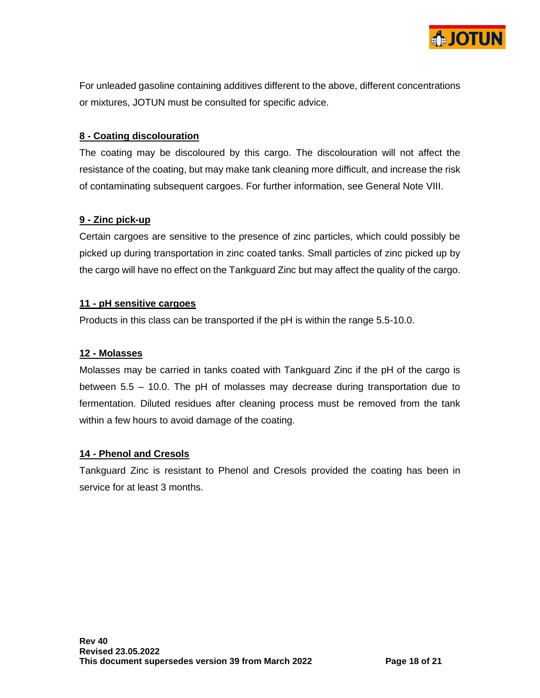

For unleaded gasoline containing additives different to the above, different concentrations or mixtures, JOTUN must be consulted for specific advice.

## **8 - Coating discolouration**

The coating may be discoloured by this cargo. The discolouration will not affect the resistance of the coating, but may make tank cleaning more difficult, and increase the risk of contaminating subsequent cargoes. For further information, see General Note VIII.

## **9 - Zinc pick-up**

Certain cargoes are sensitive to the presence of zinc particles, which could possibly be picked up during transportation in zinc coated tanks. Small particles of zinc picked up by the cargo will have no effect on the Tankguard Zinc but may affect the quality of the cargo.

## **11 - pH sensitive cargoes**

Products in this class can be transported if the pH is within the range 5.5-10.0.

## **12 - Molasses**

Molasses may be carried in tanks coated with Tankguard Zinc if the pH of the cargo is between 5.5 – 10.0. The pH of molasses may decrease during transportation due to fermentation. Diluted residues after cleaning process must be removed from the tank within a few hours to avoid damage of the coating.

## **14 - Phenol and Cresols**

Tankguard Zinc is resistant to Phenol and Cresols provided the coating has been in service for at least 3 months.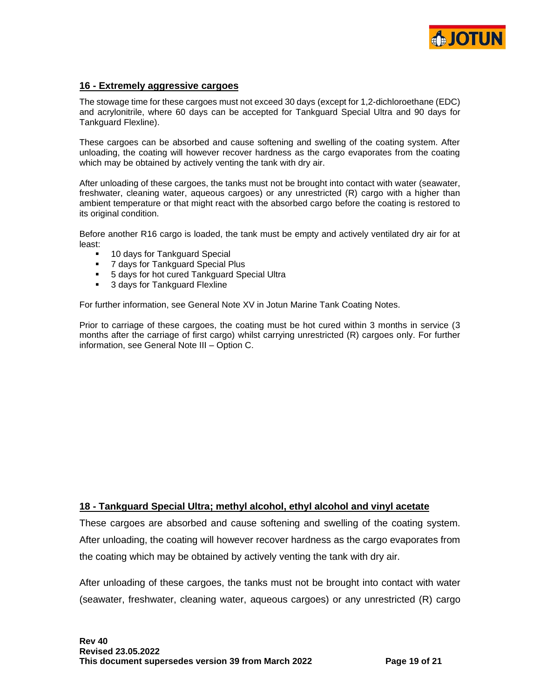

#### **16 - Extremely aggressive cargoes**

The stowage time for these cargoes must not exceed 30 days (except for 1,2-dichloroethane (EDC) and acrylonitrile, where 60 days can be accepted for Tankguard Special Ultra and 90 days for Tankguard Flexline).

These cargoes can be absorbed and cause softening and swelling of the coating system. After unloading, the coating will however recover hardness as the cargo evaporates from the coating which may be obtained by actively venting the tank with dry air.

After unloading of these cargoes, the tanks must not be brought into contact with water (seawater, freshwater, cleaning water, aqueous cargoes) or any unrestricted (R) cargo with a higher than ambient temperature or that might react with the absorbed cargo before the coating is restored to its original condition.

Before another R16 cargo is loaded, the tank must be empty and actively ventilated dry air for at least:

- 10 days for Tankguard Special
- 7 days for Tankguard Special Plus
- 5 days for hot cured Tankguard Special Ultra
- 3 days for Tankguard Flexline

For further information, see General Note XV in Jotun Marine Tank Coating Notes.

Prior to carriage of these cargoes, the coating must be hot cured within 3 months in service (3 months after the carriage of first cargo) whilst carrying unrestricted (R) cargoes only. For further information, see General Note III – Option C.

#### **18 - Tankguard Special Ultra; methyl alcohol, ethyl alcohol and vinyl acetate**

These cargoes are absorbed and cause softening and swelling of the coating system. After unloading, the coating will however recover hardness as the cargo evaporates from the coating which may be obtained by actively venting the tank with dry air.

After unloading of these cargoes, the tanks must not be brought into contact with water (seawater, freshwater, cleaning water, aqueous cargoes) or any unrestricted (R) cargo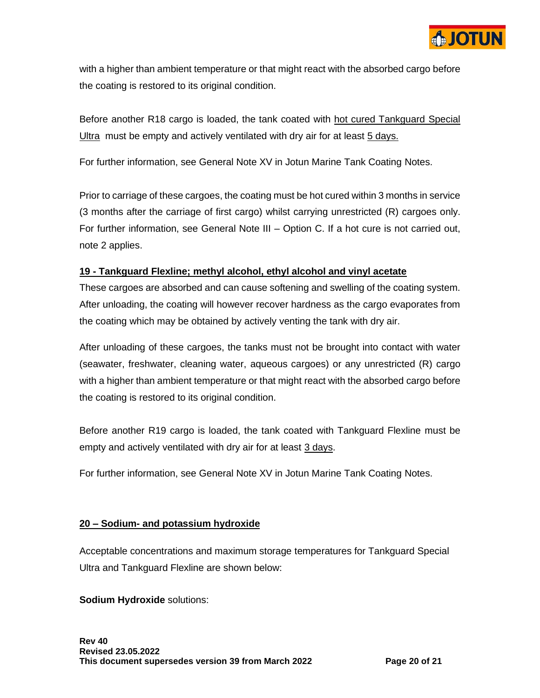

with a higher than ambient temperature or that might react with the absorbed cargo before the coating is restored to its original condition.

Before another R18 cargo is loaded, the tank coated with hot cured Tankguard Special Ultra must be empty and actively ventilated with dry air for at least 5 days.

For further information, see General Note XV in Jotun Marine Tank Coating Notes.

Prior to carriage of these cargoes, the coating must be hot cured within 3 months in service (3 months after the carriage of first cargo) whilst carrying unrestricted (R) cargoes only. For further information, see General Note III – Option C. If a hot cure is not carried out, note 2 applies.

## **19 - Tankguard Flexline; methyl alcohol, ethyl alcohol and vinyl acetate**

These cargoes are absorbed and can cause softening and swelling of the coating system. After unloading, the coating will however recover hardness as the cargo evaporates from the coating which may be obtained by actively venting the tank with dry air.

After unloading of these cargoes, the tanks must not be brought into contact with water (seawater, freshwater, cleaning water, aqueous cargoes) or any unrestricted (R) cargo with a higher than ambient temperature or that might react with the absorbed cargo before the coating is restored to its original condition.

Before another R19 cargo is loaded, the tank coated with Tankguard Flexline must be empty and actively ventilated with dry air for at least 3 days.

For further information, see General Note XV in Jotun Marine Tank Coating Notes.

## **20 – Sodium- and potassium hydroxide**

Acceptable concentrations and maximum storage temperatures for Tankguard Special Ultra and Tankguard Flexline are shown below:

## **Sodium Hydroxide** solutions: